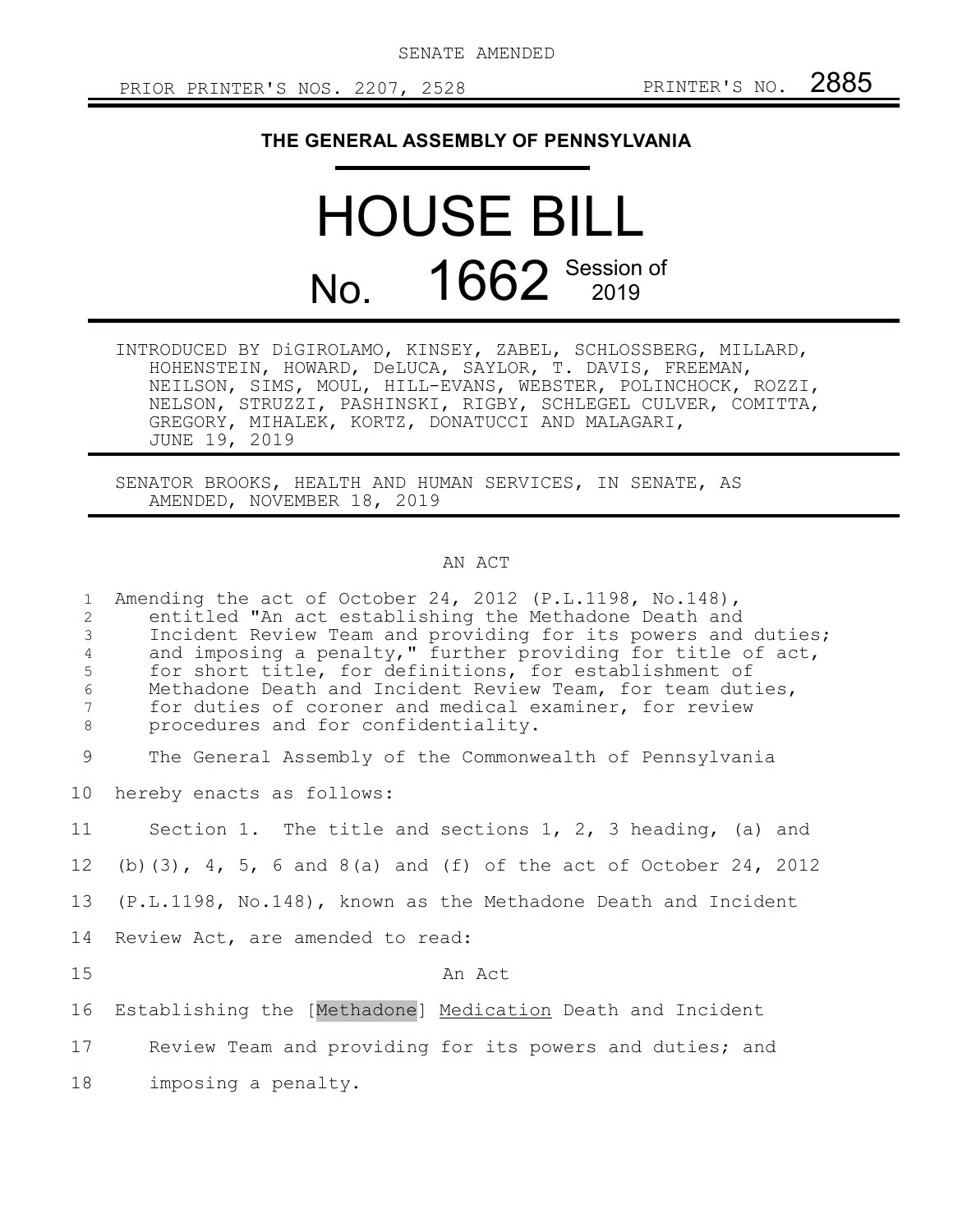## **THE GENERAL ASSEMBLY OF PENNSYLVANIA**

## HOUSE BILL No. 1662 Session of

| INTRODUCED BY DiGIROLAMO, KINSEY, ZABEL, SCHLOSSBERG, MILLARD, |  |
|----------------------------------------------------------------|--|
| HOHENSTEIN, HOWARD, DeLUCA, SAYLOR, T. DAVIS, FREEMAN,         |  |
| NEILSON, SIMS, MOUL, HILL-EVANS, WEBSTER, POLINCHOCK, ROZZI,   |  |
| NELSON, STRUZZI, PASHINSKI, RIGBY, SCHLEGEL CULVER, COMITTA,   |  |
| GREGORY, MIHALEK, KORTZ, DONATUCCI AND MALAGARI,               |  |
| JUNE 19, 2019                                                  |  |

SENATOR BROOKS, HEALTH AND HUMAN SERVICES, IN SENATE, AS AMENDED, NOVEMBER 18, 2019

## AN ACT

| $\mathbf{1}$<br>2<br>$\mathfrak{Z}$<br>$\overline{4}$<br>5<br>$\sqrt{6}$<br>7<br>8 | Amending the act of October 24, 2012 (P.L.1198, No.148),<br>entitled "An act establishing the Methadone Death and<br>Incident Review Team and providing for its powers and duties;<br>and imposing a penalty," further providing for title of act,<br>for short title, for definitions, for establishment of<br>Methadone Death and Incident Review Team, for team duties,<br>for duties of coroner and medical examiner, for review<br>procedures and for confidentiality. |
|------------------------------------------------------------------------------------|-----------------------------------------------------------------------------------------------------------------------------------------------------------------------------------------------------------------------------------------------------------------------------------------------------------------------------------------------------------------------------------------------------------------------------------------------------------------------------|
| 9                                                                                  | The General Assembly of the Commonwealth of Pennsylvania                                                                                                                                                                                                                                                                                                                                                                                                                    |
| 10 <sub>o</sub>                                                                    | hereby enacts as follows:                                                                                                                                                                                                                                                                                                                                                                                                                                                   |
| 11                                                                                 | Section 1. The title and sections 1, 2, 3 heading, (a) and                                                                                                                                                                                                                                                                                                                                                                                                                  |
| 12                                                                                 | (b) $(3)$ , 4, 5, 6 and 8(a) and (f) of the act of October 24, 2012                                                                                                                                                                                                                                                                                                                                                                                                         |
| 13                                                                                 | (P.L.1198, No.148), known as the Methadone Death and Incident                                                                                                                                                                                                                                                                                                                                                                                                               |
| 14                                                                                 | Review Act, are amended to read:                                                                                                                                                                                                                                                                                                                                                                                                                                            |
| 15                                                                                 | An Act                                                                                                                                                                                                                                                                                                                                                                                                                                                                      |
| 16                                                                                 | Establishing the [Methadone] Medication Death and Incident                                                                                                                                                                                                                                                                                                                                                                                                                  |
| 17                                                                                 | Review Team and providing for its powers and duties; and                                                                                                                                                                                                                                                                                                                                                                                                                    |
| 18                                                                                 | imposing a penalty.                                                                                                                                                                                                                                                                                                                                                                                                                                                         |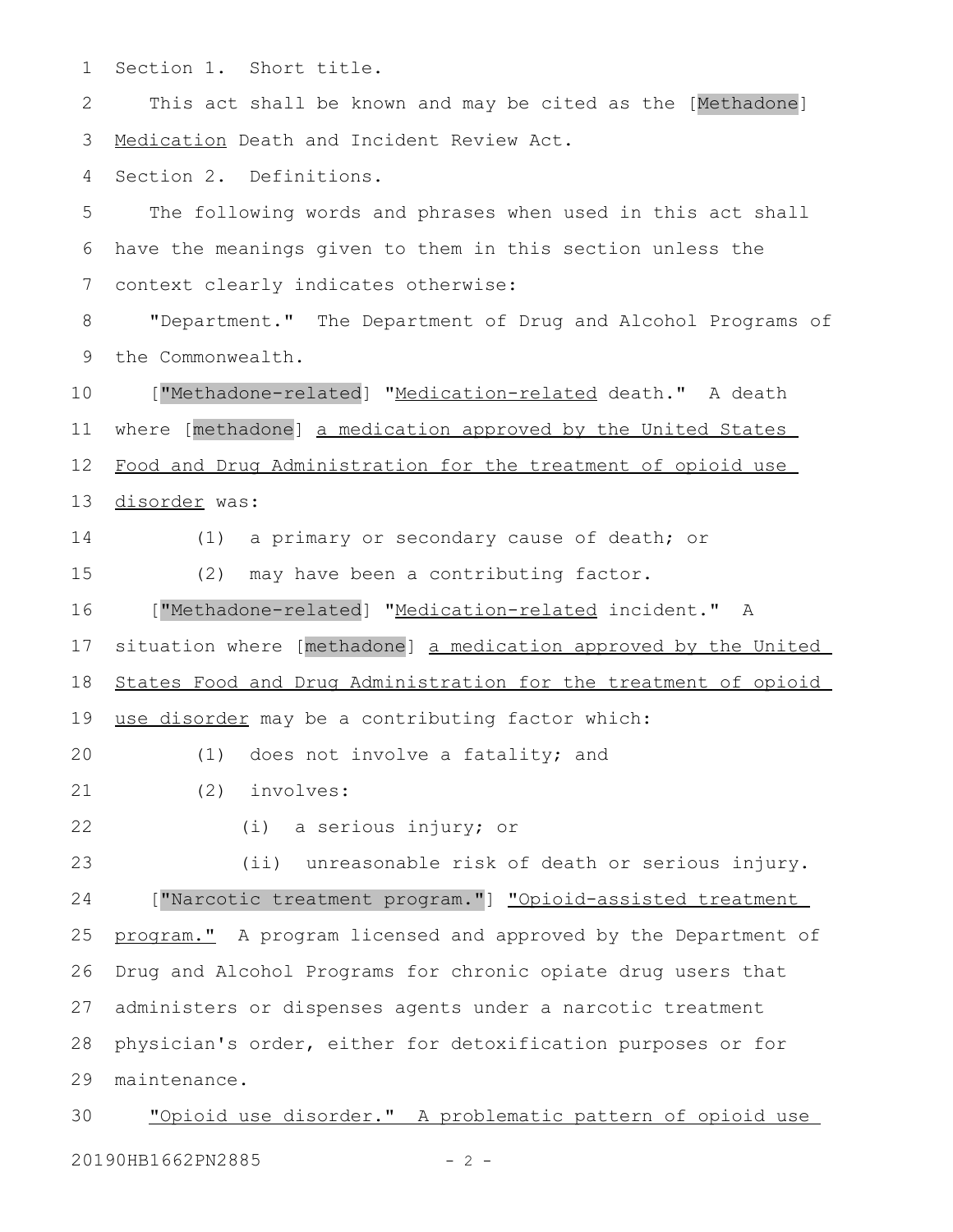Section 1. Short title. 1

This act shall be known and may be cited as the [Methadone] Medication Death and Incident Review Act. 2 3

Section 2. Definitions. 4

The following words and phrases when used in this act shall have the meanings given to them in this section unless the context clearly indicates otherwise: 5 6 7

"Department." The Department of Drug and Alcohol Programs of the Commonwealth. 8 9

["Methadone-related] "Medication-related death." A death where [methadone] a medication approved by the United States Food and Drug Administration for the treatment of opioid use disorder was: 10 11 12 13

14

(1) a primary or secondary cause of death; or

15

(2) may have been a contributing factor.

["Methadone-related] " Medication- related incident." A 16

situation where [methadone] a medication approved by the United 17

 States Food and Drug Administration for the treatment of opioid 18

use disorder may be a contributing factor which: 19

(1) does not involve a fatality; and 20

(2) involves: 21

22

(i) a serious injury; or

(ii) unreasonable risk of death or serious injury. ["Narcotic treatment program."] "Opioid-assisted treatment program." A program licensed and approved by the Department of Drug and Alcohol Programs for chronic opiate drug users that administers or dispenses agents under a narcotic treatment physician's order, either for detoxification purposes or for maintenance. 23 24 25 26 27 28 29

"Opioid use disorder." A problematic pattern of opioid use 20190HB1662PN2885 - 2 -30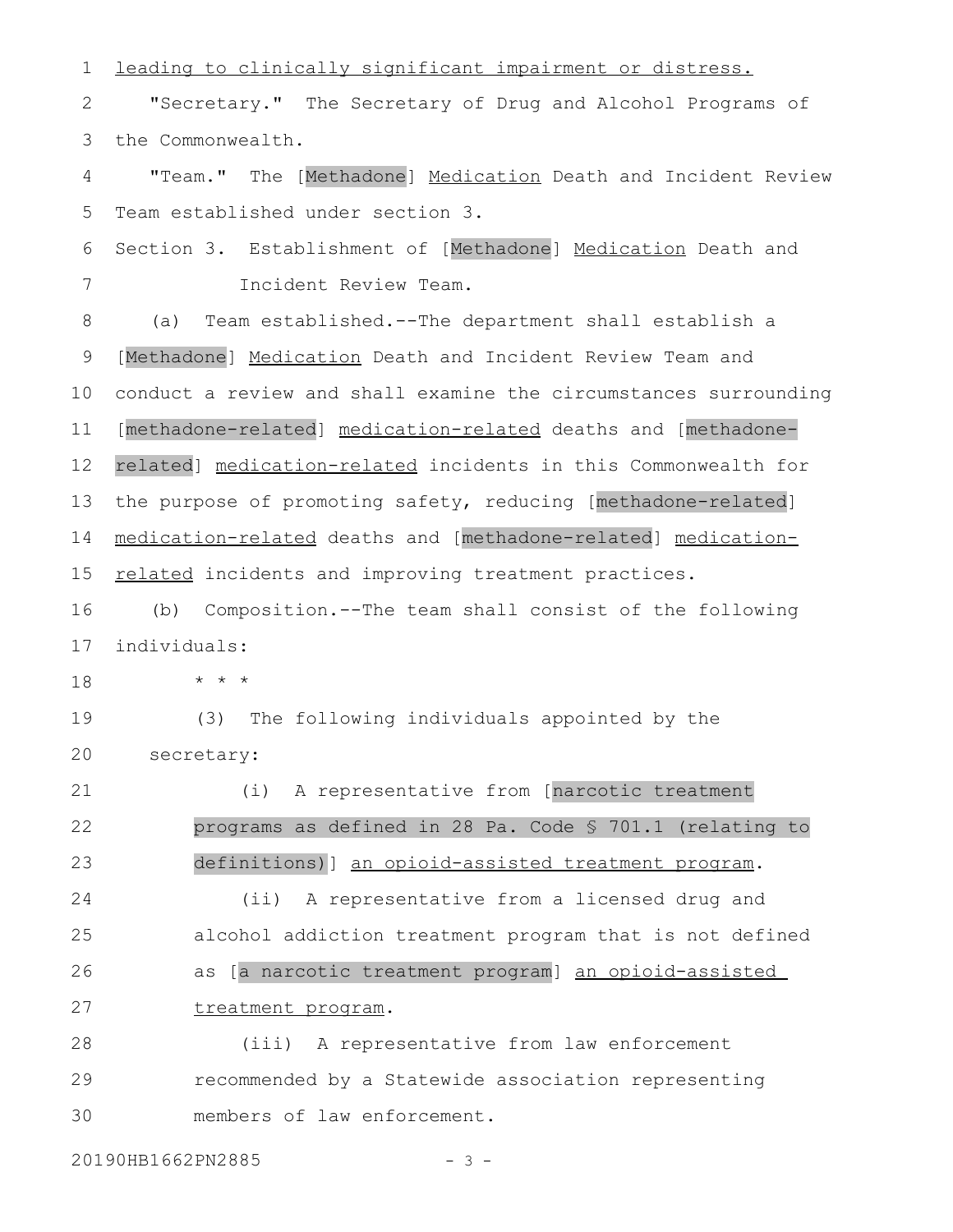leading to clinically significant impairment or distress. "Secretary." The Secretary of Drug and Alcohol Programs of the Commonwealth. "Team." The [Methadone] Medication Death and Incident Review Team established under section 3. Section 3. Establishment of [Methadone] Medication Death and Incident Review Team. (a) Team established.--The department shall establish a [Methadone] Medication Death and Incident Review Team and conduct a review and shall examine the circumstances surrounding [methadone-related] medication-related deaths and [methadonerelated] medication-related incidents in this Commonwealth for the purpose of promoting safety, reducing [methadone-related] medication-related deaths and [methadone-related] medicationrelated incidents and improving treatment practices. (b) Composition.--The team shall consist of the following individuals: \* \* \* (3) The following individuals appointed by the secretary: (i) A representative from [narcotic treatment programs as defined in 28 Pa. Code § 701.1 (relating to definitions)] an opioid-assisted treatment program. (ii) A representative from a licensed drug and alcohol addiction treatment program that is not defined as [a narcotic treatment program] an opioid-assisted treatment program. (iii) A representative from law enforcement recommended by a Statewide association representing members of law enforcement. 1 2 3 4 5 6 7 8 9 10 11 12 13 14 15 16 17 18 19 20 21 22 23 24 25 26 27 28 29 30

20190HB1662PN2885 - 3 -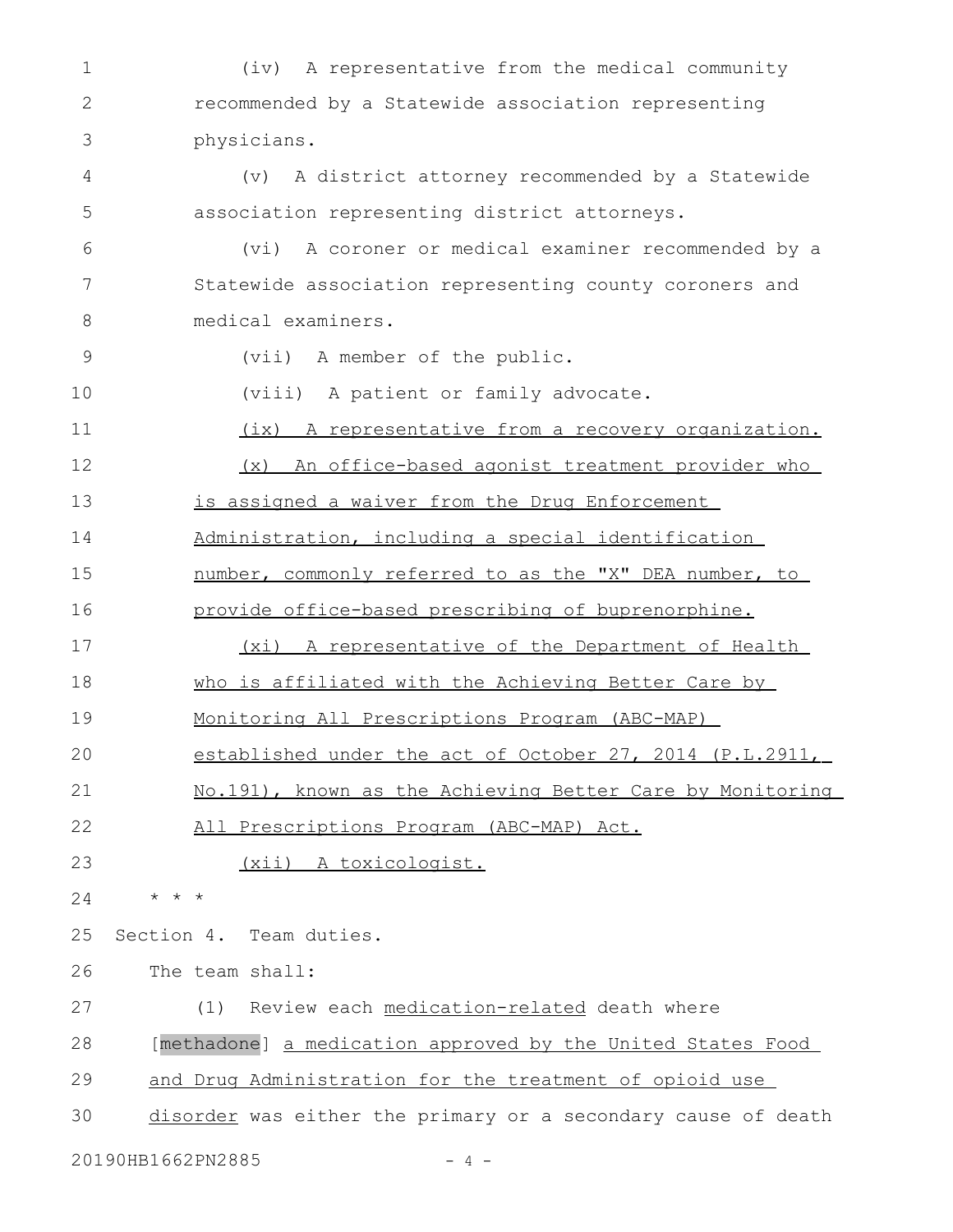| 1            | A representative from the medical community<br>(iv)           |
|--------------|---------------------------------------------------------------|
| $\mathbf{2}$ | recommended by a Statewide association representing           |
| 3            | physicians.                                                   |
| 4            | A district attorney recommended by a Statewide<br>(v)         |
| 5            | association representing district attorneys.                  |
| 6            | A coroner or medical examiner recommended by a<br>(vi)        |
| 7            | Statewide association representing county coroners and        |
| 8            | medical examiners.                                            |
| 9            | (vii) A member of the public.                                 |
| 10           | (viii) A patient or family advocate.                          |
| 11           | (ix) A representative from a recovery organization.           |
| 12           | (x) An office-based agonist treatment provider who            |
| 13           | is assigned a waiver from the Drug Enforcement                |
| 14           | Administration, including a special identification            |
| 15           | number, commonly referred to as the "X" DEA number, to        |
| 16           | provide office-based prescribing of buprenorphine.            |
| 17           | (xi) A representative of the Department of Health             |
| 18           | who is affiliated with the Achieving Better Care by           |
| 19           | Monitoring All Prescriptions Program (ABC-MAP)                |
| 20           | established under the act of October 27, 2014 (P.L.2911,      |
| 21           | No.191), known as the Achieving Better Care by Monitoring     |
| 22           | All Prescriptions Program (ABC-MAP) Act.                      |
| 23           | (xii) A toxicologist.                                         |
| 24           | $\star$ $\star$                                               |
| 25           | Section 4. Team duties.                                       |
| 26           | The team shall:                                               |
| 27           | Review each medication-related death where<br>(1)             |
| 28           | [methadone] a medication approved by the United States Food   |
| 29           | and Drug Administration for the treatment of opioid use       |
| 30           | disorder was either the primary or a secondary cause of death |
|              |                                                               |

20190HB1662PN2885 - 4 -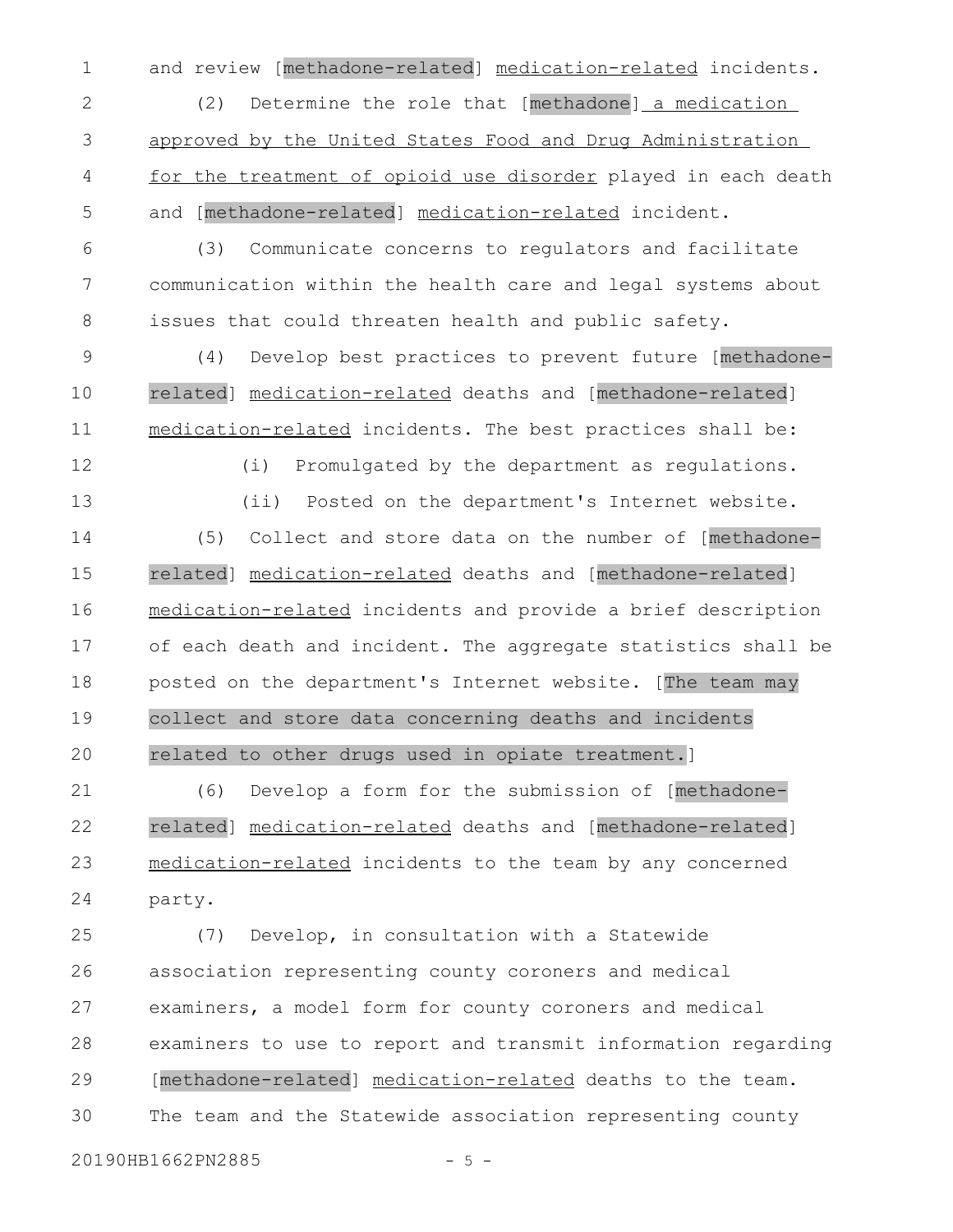and review [methadone-related] medication-related incidents. 1

(2) Determine the role that [methadone] a medication approved by the United States Food and Drug Administration for the treatment of opioid use disorder played in each death and [methadone-related] medication-related incident. 2 3 4 5

(3) Communicate concerns to regulators and facilitate communication within the health care and legal systems about issues that could threaten health and public safety. 6 7 8

(4) Develop best practices to prevent future [methadonerelated] medication-related deaths and [methadone-related] medication- related incidents. The best practices shall be: 9 10 11

12

13

(i) Promulgated by the department as regulations. (ii) Posted on the department's Internet website.

(5) Collect and store data on the number of [methadonerelated] medication-related deaths and [methadone-related] medication- related incidents and provide a brief description of each death and incident. The aggregate statistics shall be posted on the department's Internet website. [The team may collect and store data concerning deaths and incidents related to other drugs used in opiate treatment.] 14 15 16 17 18 19 20

(6) Develop a form for the submission of [methadonerelated] medication-related deaths and [methadone-related] medication-related incidents to the team by any concerned party. 21 22 23 24

(7) Develop, in consultation with a Statewide association representing county coroners and medical examiners, a model form for county coroners and medical examiners to use to report and transmit information regarding [methadone-related] medication- related deaths to the team. The team and the Statewide association representing county 25 26 27 28 29 30

20190HB1662PN2885 - 5 -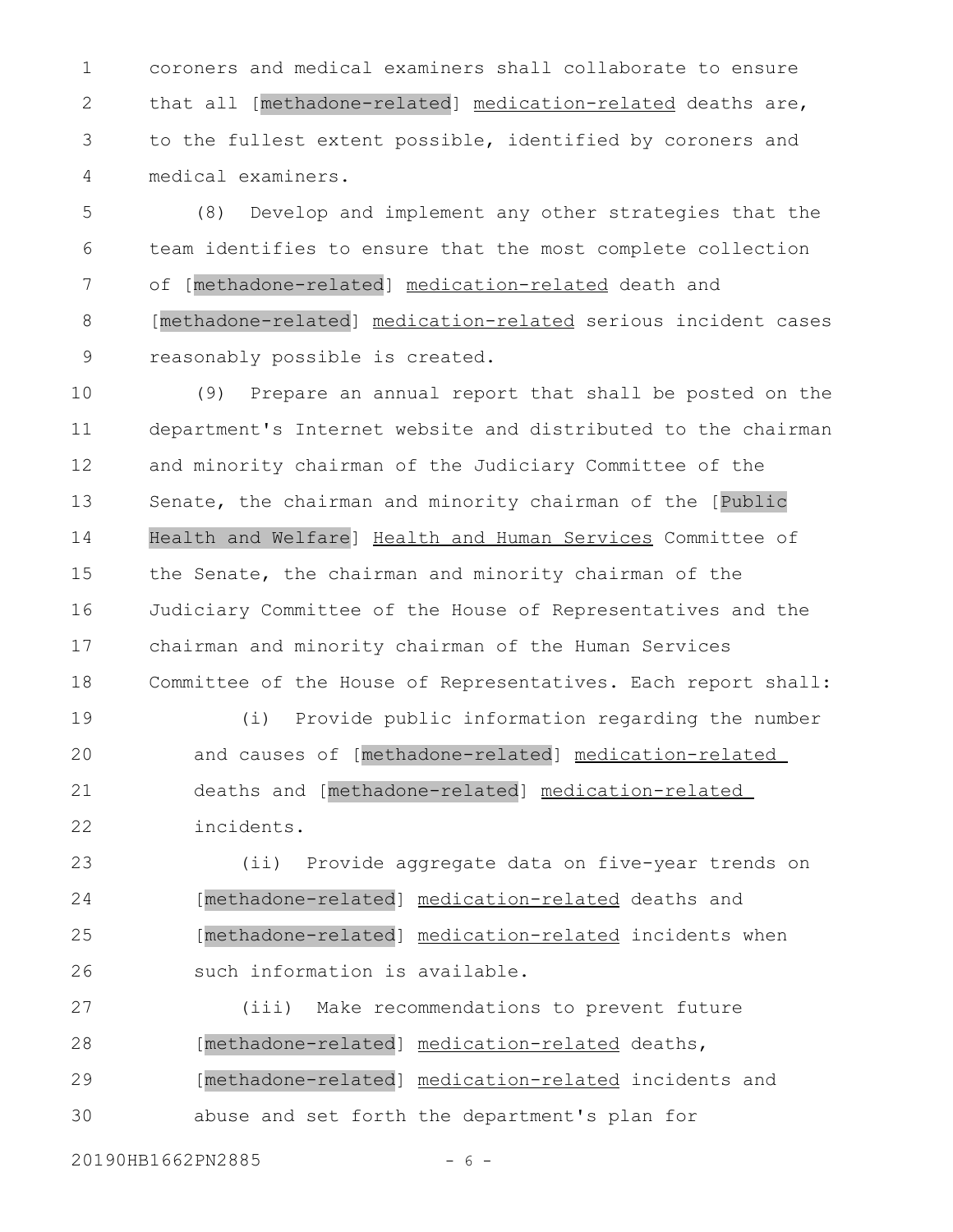coroners and medical examiners shall collaborate to ensure that all [methadone-related] medication-related deaths are, to the fullest extent possible, identified by coroners and medical examiners. 1 2 3 4

(8) Develop and implement any other strategies that the team identifies to ensure that the most complete collection of [methadone-related] medication-related death and [methadone-related] medication-related serious incident cases reasonably possible is created. 5 6 7 8 9

(9) Prepare an annual report that shall be posted on the department's Internet website and distributed to the chairman and minority chairman of the Judiciary Committee of the Senate, the chairman and minority chairman of the [Public Health and Welfare] Health and Human Services Committee of the Senate, the chairman and minority chairman of the Judiciary Committee of the House of Representatives and the chairman and minority chairman of the Human Services Committee of the House of Representatives. Each report shall: 10 11 12 13 14 15 16 17 18

(i) Provide public information regarding the number and causes of [methadone-related] medication-related deaths and [methadone-related] medication-related incidents. 19 20 21 22

(ii) Provide aggregate data on five-year trends on [methadone-related] medication- related deaths and [methadone-related] medication-related incidents when such information is available. 23 24 25 26

(iii) Make recommendations to prevent future [methadone-related] medication-related deaths, [methadone-related] medication-related incidents and abuse and set forth the department's plan for 27 28 29 30

20190HB1662PN2885 - 6 -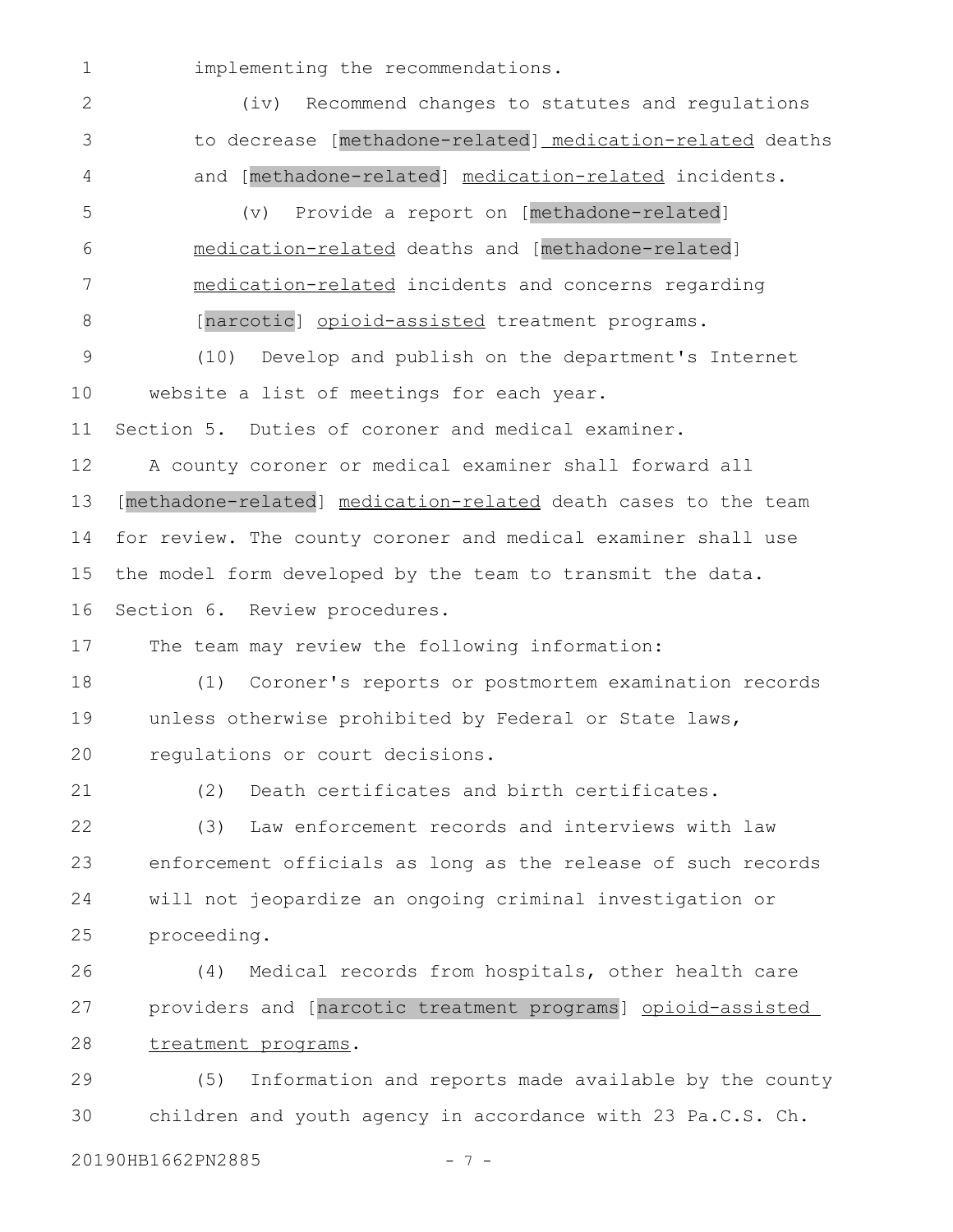implementing the recommendations. (iv) Recommend changes to statutes and regulations to decrease [methadone-related] medication-related deaths and [methadone-related] medication-related incidents. (v) Provide a report on [methadone-related] medication-related deaths and [methadone-related] medication-related incidents and concerns regarding [narcotic] opioid-assisted treatment programs. (10) Develop and publish on the department's Internet website a list of meetings for each year. Section 5. Duties of coroner and medical examiner. A county coroner or medical examiner shall forward all [methadone-related] medication-related death cases to the team for review. The county coroner and medical examiner shall use the model form developed by the team to transmit the data. Section 6. Review procedures. The team may review the following information: (1) Coroner's reports or postmortem examination records unless otherwise prohibited by Federal or State laws, regulations or court decisions. (2) Death certificates and birth certificates. (3) Law enforcement records and interviews with law enforcement officials as long as the release of such records will not jeopardize an ongoing criminal investigation or proceeding. (4) Medical records from hospitals, other health care providers and [narcotic treatment programs] opioid-assisted treatment programs. (5) Information and reports made available by the county children and youth agency in accordance with 23 Pa.C.S. Ch. 1 2 3 4 5 6 7 8 9 10 11 12 13 14 15 16 17 18 19 20 21 22 23 24 25 26 27 28 29 30

## 20190HB1662PN2885 - 7 -